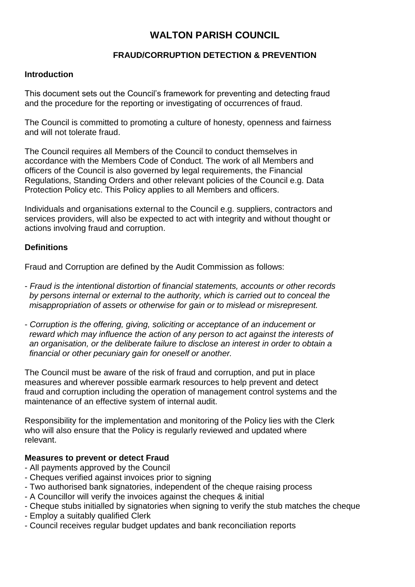# **WALTON PARISH COUNCIL**

## **FRAUD/CORRUPTION DETECTION & PREVENTION**

#### **Introduction**

This document sets out the Council's framework for preventing and detecting fraud and the procedure for the reporting or investigating of occurrences of fraud.

The Council is committed to promoting a culture of honesty, openness and fairness and will not tolerate fraud.

The Council requires all Members of the Council to conduct themselves in accordance with the Members Code of Conduct. The work of all Members and officers of the Council is also governed by legal requirements, the Financial Regulations, Standing Orders and other relevant policies of the Council e.g. Data Protection Policy etc. This Policy applies to all Members and officers.

Individuals and organisations external to the Council e.g. suppliers, contractors and services providers, will also be expected to act with integrity and without thought or actions involving fraud and corruption.

## **Definitions**

Fraud and Corruption are defined by the Audit Commission as follows:

- *Fraud is the intentional distortion of financial statements, accounts or other records by persons internal or external to the authority, which is carried out to conceal the misappropriation of assets or otherwise for gain or to mislead or misrepresent.*
- *Corruption is the offering, giving, soliciting or acceptance of an inducement or reward which may influence the action of any person to act against the interests of an organisation, or the deliberate failure to disclose an interest in order to obtain a financial or other pecuniary gain for oneself or another.*

The Council must be aware of the risk of fraud and corruption, and put in place measures and wherever possible earmark resources to help prevent and detect fraud and corruption including the operation of management control systems and the maintenance of an effective system of internal audit.

Responsibility for the implementation and monitoring of the Policy lies with the Clerk who will also ensure that the Policy is regularly reviewed and updated where relevant.

## **Measures to prevent or detect Fraud**

- All payments approved by the Council
- Cheques verified against invoices prior to signing
- Two authorised bank signatories, independent of the cheque raising process
- A Councillor will verify the invoices against the cheques & initial
- Cheque stubs initialled by signatories when signing to verify the stub matches the cheque
- Employ a suitably qualified Clerk
- Council receives regular budget updates and bank reconciliation reports